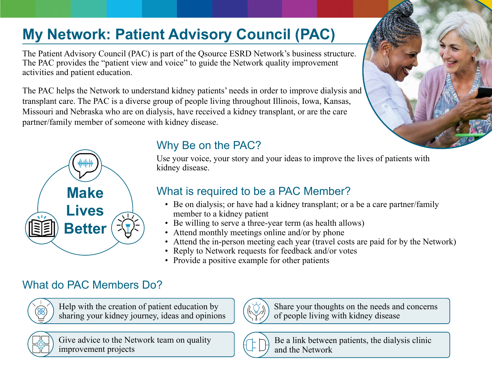# **My Network: Patient Advisory Council (PAC)**

The Patient Advisory Council (PAC) is part of the Qsource ESRD Network's business structure. The PAC provides the "patient view and voice" to guide the Network quality improvement activities and patient education.

The PAC helps the Network to understand kidney patients' needs in order to improve dialysis and transplant care. The PAC is a diverse group of people living throughout Illinois, Iowa, Kansas, Missouri and Nebraska who are on dialysis, have received a kidney transplant, or are the care partner/family member of someone with kidney disease.



# Why Be on the PAC?

Use your voice, your story and your ideas to improve the lives of patients with kidney disease.

# What is required to be a PAC Member?

- Be on dialysis; or have had a kidney transplant; or a be a care partner/family member to a kidney patient
- Be willing to serve a three-year term (as health allows)
- Attend monthly meetings online and/or by phone
- Attend the in-person meeting each year (travel costs are paid for by the Network)
- Reply to Network requests for feedback and/or votes
- Provide a positive example for other patients

### What do PAC Members Do?



Help with the creation of patient education by sharing your kidney journey, ideas and opinions



Give advice to the Network team on quality improvement projects



Share your thoughts on the needs and concerns of people living with kidney disease



Be a link between patients, the dialysis clinic and the Network